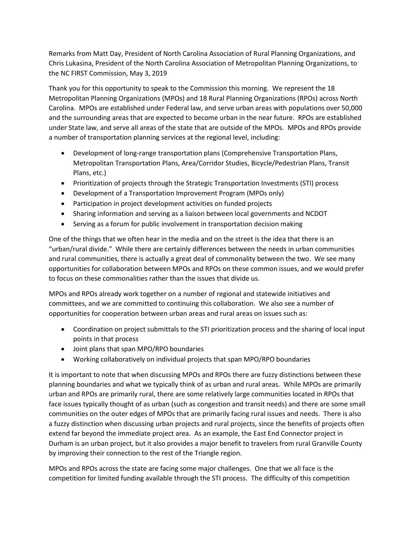Remarks from Matt Day, President of North Carolina Association of Rural Planning Organizations, and Chris Lukasina, President of the North Carolina Association of Metropolitan Planning Organizations, to the NC FIRST Commission, May 3, 2019

Thank you for this opportunity to speak to the Commission this morning. We represent the 18 Metropolitan Planning Organizations (MPOs) and 18 Rural Planning Organizations (RPOs) across North Carolina. MPOs are established under Federal law, and serve urban areas with populations over 50,000 and the surrounding areas that are expected to become urban in the near future. RPOs are established under State law, and serve all areas of the state that are outside of the MPOs. MPOs and RPOs provide a number of transportation planning services at the regional level, including:

- Development of long-range transportation plans (Comprehensive Transportation Plans, Metropolitan Transportation Plans, Area/Corridor Studies, Bicycle/Pedestrian Plans, Transit Plans, etc.)
- Prioritization of projects through the Strategic Transportation Investments (STI) process
- Development of a Transportation Improvement Program (MPOs only)
- Participation in project development activities on funded projects
- Sharing information and serving as a liaison between local governments and NCDOT
- Serving as a forum for public involvement in transportation decision making

One of the things that we often hear in the media and on the street is the idea that there is an "urban/rural divide." While there are certainly differences between the needs in urban communities and rural communities, there is actually a great deal of commonality between the two. We see many opportunities for collaboration between MPOs and RPOs on these common issues, and we would prefer to focus on these commonalities rather than the issues that divide us.

MPOs and RPOs already work together on a number of regional and statewide initiatives and committees, and we are committed to continuing this collaboration. We also see a number of opportunities for cooperation between urban areas and rural areas on issues such as:

- Coordination on project submittals to the STI prioritization process and the sharing of local input points in that process
- Joint plans that span MPO/RPO boundaries
- Working collaboratively on individual projects that span MPO/RPO boundaries

It is important to note that when discussing MPOs and RPOs there are fuzzy distinctions between these planning boundaries and what we typically think of as urban and rural areas. While MPOs are primarily urban and RPOs are primarily rural, there are some relatively large communities located in RPOs that face issues typically thought of as urban (such as congestion and transit needs) and there are some small communities on the outer edges of MPOs that are primarily facing rural issues and needs. There is also a fuzzy distinction when discussing urban projects and rural projects, since the benefits of projects often extend far beyond the immediate project area. As an example, the East End Connector project in Durham is an urban project, but it also provides a major benefit to travelers from rural Granville County by improving their connection to the rest of the Triangle region.

MPOs and RPOs across the state are facing some major challenges. One that we all face is the competition for limited funding available through the STI process. The difficulty of this competition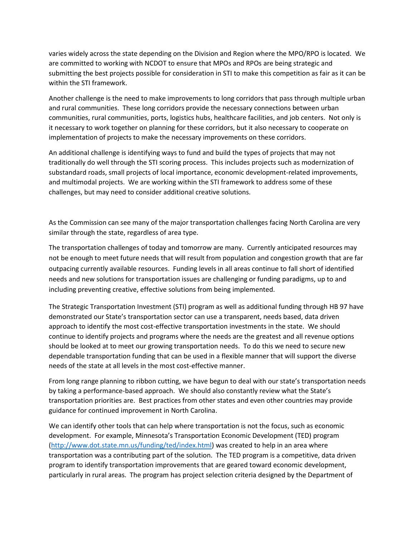varies widely across the state depending on the Division and Region where the MPO/RPO is located. We are committed to working with NCDOT to ensure that MPOs and RPOs are being strategic and submitting the best projects possible for consideration in STI to make this competition as fair as it can be within the STI framework.

Another challenge is the need to make improvements to long corridors that pass through multiple urban and rural communities. These long corridors provide the necessary connections between urban communities, rural communities, ports, logistics hubs, healthcare facilities, and job centers. Not only is it necessary to work together on planning for these corridors, but it also necessary to cooperate on implementation of projects to make the necessary improvements on these corridors.

An additional challenge is identifying ways to fund and build the types of projects that may not traditionally do well through the STI scoring process. This includes projects such as modernization of substandard roads, small projects of local importance, economic development-related improvements, and multimodal projects. We are working within the STI framework to address some of these challenges, but may need to consider additional creative solutions.

As the Commission can see many of the major transportation challenges facing North Carolina are very similar through the state, regardless of area type.

The transportation challenges of today and tomorrow are many. Currently anticipated resources may not be enough to meet future needs that will result from population and congestion growth that are far outpacing currently available resources. Funding levels in all areas continue to fall short of identified needs and new solutions for transportation issues are challenging or funding paradigms, up to and including preventing creative, effective solutions from being implemented.

The Strategic Transportation Investment (STI) program as well as additional funding through HB 97 have demonstrated our State's transportation sector can use a transparent, needs based, data driven approach to identify the most cost-effective transportation investments in the state. We should continue to identify projects and programs where the needs are the greatest and all revenue options should be looked at to meet our growing transportation needs. To do this we need to secure new dependable transportation funding that can be used in a flexible manner that will support the diverse needs of the state at all levels in the most cost-effective manner.

From long range planning to ribbon cutting, we have begun to deal with our state's transportation needs by taking a performance-based approach. We should also constantly review what the State's transportation priorities are. Best practices from other states and even other countries may provide guidance for continued improvement in North Carolina.

We can identify other tools that can help where transportation is not the focus, such as economic development. For example, Minnesota's Transportation Economic Development (TED) program [\(http://www.dot.state.mn.us/funding/ted/index.html\)](http://www.dot.state.mn.us/funding/ted/index.html) was created to help in an area where transportation was a contributing part of the solution. The TED program is a competitive, data driven program to identify transportation improvements that are geared toward economic development, particularly in rural areas. The program has project selection criteria designed by the Department of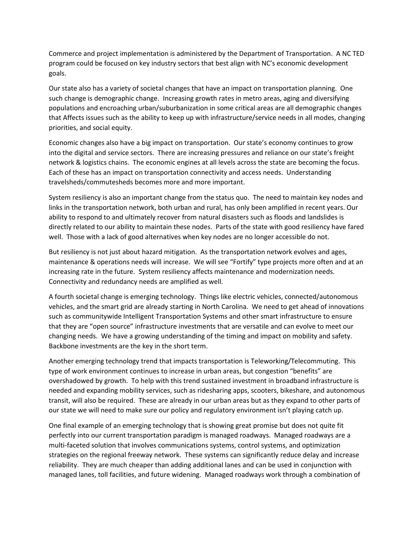Commerce and project implementation is administered by the Department of Transportation. A NC TED program could be focused on key industry sectors that best align with NC's economic development goals.

Our state also has a variety of societal changes that have an impact on transportation planning. One such change is demographic change. Increasing growth rates in metro areas, aging and diversifying populations and encroaching urban/suburbanization in some critical areas are all demographic changes that Affects issues such as the ability to keep up with infrastructure/service needs in all modes, changing priorities, and social equity.

Economic changes also have a big impact on transportation. Our state's economy continues to grow into the digital and service sectors. There are increasing pressures and reliance on our state's freight network & logistics chains. The economic engines at all levels across the state are becoming the focus. Each of these has an impact on transportation connectivity and access needs. Understanding travelsheds/commutesheds becomes more and more important.

System resiliency is also an important change from the status quo. The need to maintain key nodes and links in the transportation network, both urban and rural, has only been amplified in recent years. Our ability to respond to and ultimately recover from natural disasters such as floods and landslides is directly related to our ability to maintain these nodes. Parts of the state with good resiliency have fared well. Those with a lack of good alternatives when key nodes are no longer accessible do not.

But resiliency is not just about hazard mitigation. As the transportation network evolves and ages, maintenance & operations needs will increase. We will see "Fortify" type projects more often and at an increasing rate in the future. System resiliency affects maintenance and modernization needs. Connectivity and redundancy needs are amplified as well.

A fourth societal change is emerging technology. Things like electric vehicles, connected/autonomous vehicles, and the smart grid are already starting in North Carolina. We need to get ahead of innovations such as communitywide Intelligent Transportation Systems and other smart infrastructure to ensure that they are "open source" infrastructure investments that are versatile and can evolve to meet our changing needs. We have a growing understanding of the timing and impact on mobility and safety. Backbone investments are the key in the short term.

Another emerging technology trend that impacts transportation is Teleworking/Telecommuting. This type of work environment continues to increase in urban areas, but congestion "benefits" are overshadowed by growth. To help with this trend sustained investment in broadband infrastructure is needed and expanding mobility services, such as ridesharing apps, scooters, bikeshare, and autonomous transit, will also be required. These are already in our urban areas but as they expand to other parts of our state we will need to make sure our policy and regulatory environment isn't playing catch up.

One final example of an emerging technology that is showing great promise but does not quite fit perfectly into our current transportation paradigm is managed roadways. Managed roadways are a multi-faceted solution that involves communications systems, control systems, and optimization strategies on the regional freeway network. These systems can significantly reduce delay and increase reliability. They are much cheaper than adding additional lanes and can be used in conjunction with managed lanes, toll facilities, and future widening. Managed roadways work through a combination of